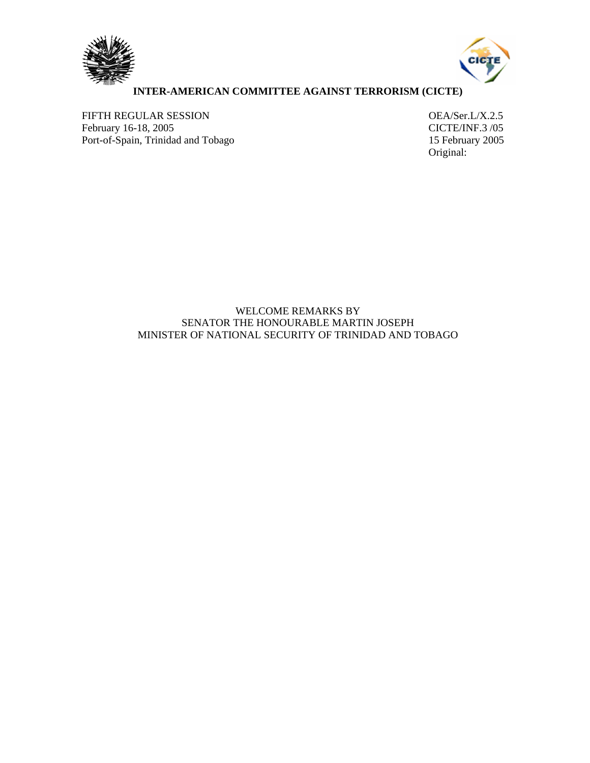



## **INTER-AMERICAN COMMITTEE AGAINST TERRORISM (CICTE)**

FIFTH REGULAR SESSION<br>
February 16-18, 2005<br>
CICTE/INF.3 /05 February 16-18, 2005<br>
Port-of-Spain, Trinidad and Tobago<br>
15 February 2005 Port-of-Spain, Trinidad and Tobago

Original:

## WELCOME REMARKS BY SENATOR THE HONOURABLE MARTIN JOSEPH MINISTER OF NATIONAL SECURITY OF TRINIDAD AND TOBAGO